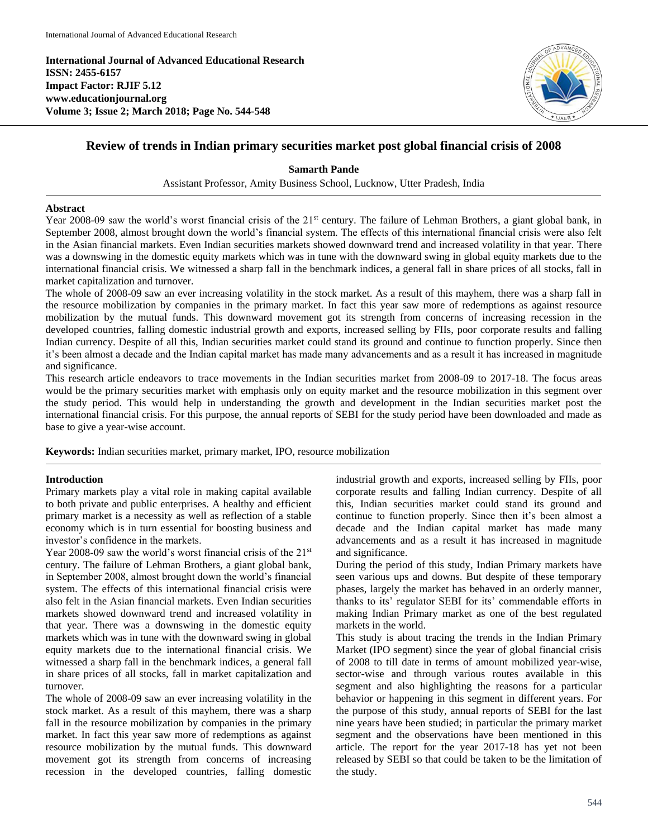**International Journal of Advanced Educational Research ISSN: 2455-6157 Impact Factor: RJIF 5.12 www.educationjournal.org Volume 3; Issue 2; March 2018; Page No. 544-548**



# **Review of trends in Indian primary securities market post global financial crisis of 2008**

**Samarth Pande**

Assistant Professor, Amity Business School, Lucknow, Utter Pradesh, India

### **Abstract**

Year 2008-09 saw the world's worst financial crisis of the 21<sup>st</sup> century. The failure of Lehman Brothers, a giant global bank, in September 2008, almost brought down the world's financial system. The effects of this international financial crisis were also felt in the Asian financial markets. Even Indian securities markets showed downward trend and increased volatility in that year. There was a downswing in the domestic equity markets which was in tune with the downward swing in global equity markets due to the international financial crisis. We witnessed a sharp fall in the benchmark indices, a general fall in share prices of all stocks, fall in market capitalization and turnover.

The whole of 2008-09 saw an ever increasing volatility in the stock market. As a result of this mayhem, there was a sharp fall in the resource mobilization by companies in the primary market. In fact this year saw more of redemptions as against resource mobilization by the mutual funds. This downward movement got its strength from concerns of increasing recession in the developed countries, falling domestic industrial growth and exports, increased selling by FIIs, poor corporate results and falling Indian currency. Despite of all this, Indian securities market could stand its ground and continue to function properly. Since then it's been almost a decade and the Indian capital market has made many advancements and as a result it has increased in magnitude and significance.

This research article endeavors to trace movements in the Indian securities market from 2008-09 to 2017-18. The focus areas would be the primary securities market with emphasis only on equity market and the resource mobilization in this segment over the study period. This would help in understanding the growth and development in the Indian securities market post the international financial crisis. For this purpose, the annual reports of SEBI for the study period have been downloaded and made as base to give a year-wise account.

**Keywords:** Indian securities market, primary market, IPO, resource mobilization

## **Introduction**

Primary markets play a vital role in making capital available to both private and public enterprises. A healthy and efficient primary market is a necessity as well as reflection of a stable economy which is in turn essential for boosting business and investor's confidence in the markets.

Year 2008-09 saw the world's worst financial crisis of the 21<sup>st</sup> century. The failure of Lehman Brothers, a giant global bank, in September 2008, almost brought down the world's financial system. The effects of this international financial crisis were also felt in the Asian financial markets. Even Indian securities markets showed downward trend and increased volatility in that year. There was a downswing in the domestic equity markets which was in tune with the downward swing in global equity markets due to the international financial crisis. We witnessed a sharp fall in the benchmark indices, a general fall in share prices of all stocks, fall in market capitalization and turnover.

The whole of 2008-09 saw an ever increasing volatility in the stock market. As a result of this mayhem, there was a sharp fall in the resource mobilization by companies in the primary market. In fact this year saw more of redemptions as against resource mobilization by the mutual funds. This downward movement got its strength from concerns of increasing recession in the developed countries, falling domestic industrial growth and exports, increased selling by FIIs, poor corporate results and falling Indian currency. Despite of all this, Indian securities market could stand its ground and continue to function properly. Since then it's been almost a decade and the Indian capital market has made many advancements and as a result it has increased in magnitude and significance.

During the period of this study, Indian Primary markets have seen various ups and downs. But despite of these temporary phases, largely the market has behaved in an orderly manner, thanks to its' regulator SEBI for its' commendable efforts in making Indian Primary market as one of the best regulated markets in the world.

This study is about tracing the trends in the Indian Primary Market (IPO segment) since the year of global financial crisis of 2008 to till date in terms of amount mobilized year-wise, sector-wise and through various routes available in this segment and also highlighting the reasons for a particular behavior or happening in this segment in different years. For the purpose of this study, annual reports of SEBI for the last nine years have been studied; in particular the primary market segment and the observations have been mentioned in this article. The report for the year 2017-18 has yet not been released by SEBI so that could be taken to be the limitation of the study.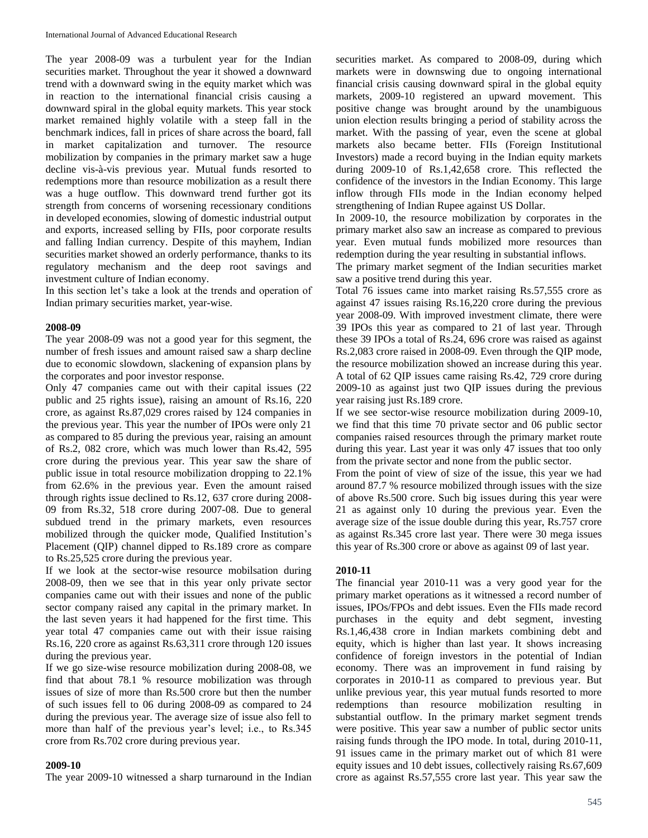The year 2008-09 was a turbulent year for the Indian securities market. Throughout the year it showed a downward trend with a downward swing in the equity market which was in reaction to the international financial crisis causing a downward spiral in the global equity markets. This year stock market remained highly volatile with a steep fall in the benchmark indices, fall in prices of share across the board, fall in market capitalization and turnover. The resource mobilization by companies in the primary market saw a huge decline vis-à-vis previous year. Mutual funds resorted to redemptions more than resource mobilization as a result there was a huge outflow. This downward trend further got its strength from concerns of worsening recessionary conditions in developed economies, slowing of domestic industrial output and exports, increased selling by FIIs, poor corporate results and falling Indian currency. Despite of this mayhem, Indian securities market showed an orderly performance, thanks to its regulatory mechanism and the deep root savings and investment culture of Indian economy.

In this section let's take a look at the trends and operation of Indian primary securities market, year-wise.

#### **2008-09**

The year 2008-09 was not a good year for this segment, the number of fresh issues and amount raised saw a sharp decline due to economic slowdown, slackening of expansion plans by the corporates and poor investor response.

Only 47 companies came out with their capital issues (22 public and 25 rights issue), raising an amount of Rs.16, 220 crore, as against Rs.87,029 crores raised by 124 companies in the previous year. This year the number of IPOs were only 21 as compared to 85 during the previous year, raising an amount of Rs.2, 082 crore, which was much lower than Rs.42, 595 crore during the previous year. This year saw the share of public issue in total resource mobilization dropping to 22.1% from 62.6% in the previous year. Even the amount raised through rights issue declined to Rs.12, 637 crore during 2008- 09 from Rs.32, 518 crore during 2007-08. Due to general subdued trend in the primary markets, even resources mobilized through the quicker mode, Qualified Institution's Placement (QIP) channel dipped to Rs.189 crore as compare to Rs.25,525 crore during the previous year.

If we look at the sector-wise resource mobilsation during 2008-09, then we see that in this year only private sector companies came out with their issues and none of the public sector company raised any capital in the primary market. In the last seven years it had happened for the first time. This year total 47 companies came out with their issue raising Rs.16, 220 crore as against Rs.63,311 crore through 120 issues during the previous year.

If we go size-wise resource mobilization during 2008-08, we find that about 78.1 % resource mobilization was through issues of size of more than Rs.500 crore but then the number of such issues fell to 06 during 2008-09 as compared to 24 during the previous year. The average size of issue also fell to more than half of the previous year's level; i.e., to Rs.345 crore from Rs.702 crore during previous year.

#### **2009-10**

The year 2009-10 witnessed a sharp turnaround in the Indian

securities market. As compared to 2008-09, during which markets were in downswing due to ongoing international financial crisis causing downward spiral in the global equity markets, 2009-10 registered an upward movement. This positive change was brought around by the unambiguous union election results bringing a period of stability across the market. With the passing of year, even the scene at global markets also became better. FIIs (Foreign Institutional Investors) made a record buying in the Indian equity markets during 2009-10 of Rs.1,42,658 crore. This reflected the confidence of the investors in the Indian Economy. This large inflow through FIIs mode in the Indian economy helped strengthening of Indian Rupee against US Dollar.

In 2009-10, the resource mobilization by corporates in the primary market also saw an increase as compared to previous year. Even mutual funds mobilized more resources than redemption during the year resulting in substantial inflows.

The primary market segment of the Indian securities market saw a positive trend during this year.

Total 76 issues came into market raising Rs.57,555 crore as against 47 issues raising Rs.16,220 crore during the previous year 2008-09. With improved investment climate, there were 39 IPOs this year as compared to 21 of last year. Through these 39 IPOs a total of Rs.24, 696 crore was raised as against Rs.2,083 crore raised in 2008-09. Even through the QIP mode, the resource mobilization showed an increase during this year. A total of 62 QIP issues came raising Rs.42, 729 crore during 2009-10 as against just two QIP issues during the previous year raising just Rs.189 crore.

If we see sector-wise resource mobilization during 2009-10, we find that this time 70 private sector and 06 public sector companies raised resources through the primary market route during this year. Last year it was only 47 issues that too only from the private sector and none from the public sector.

From the point of view of size of the issue, this year we had around 87.7 % resource mobilized through issues with the size of above Rs.500 crore. Such big issues during this year were 21 as against only 10 during the previous year. Even the average size of the issue double during this year, Rs.757 crore as against Rs.345 crore last year. There were 30 mega issues this year of Rs.300 crore or above as against 09 of last year.

### **2010-11**

The financial year 2010-11 was a very good year for the primary market operations as it witnessed a record number of issues, IPOs/FPOs and debt issues. Even the FIIs made record purchases in the equity and debt segment, investing Rs.1,46,438 crore in Indian markets combining debt and equity, which is higher than last year. It shows increasing confidence of foreign investors in the potential of Indian economy. There was an improvement in fund raising by corporates in 2010-11 as compared to previous year. But unlike previous year, this year mutual funds resorted to more redemptions than resource mobilization resulting in substantial outflow. In the primary market segment trends were positive. This year saw a number of public sector units raising funds through the IPO mode. In total, during 2010-11, 91 issues came in the primary market out of which 81 were equity issues and 10 debt issues, collectively raising Rs.67,609 crore as against Rs.57,555 crore last year. This year saw the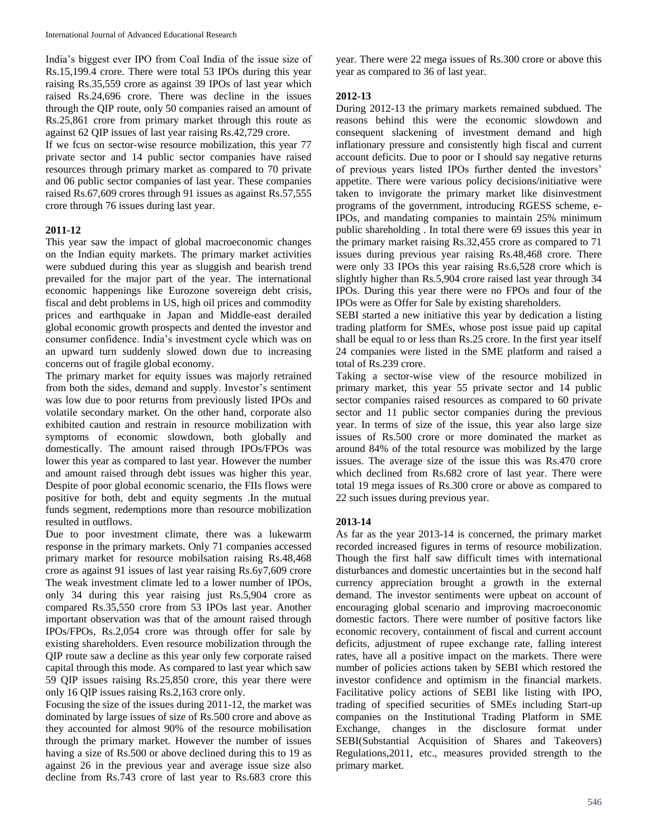India's biggest ever IPO from Coal India of the issue size of Rs.15,199.4 crore. There were total 53 IPOs during this year raising Rs.35,559 crore as against 39 IPOs of last year which raised Rs.24,696 crore. There was decline in the issues through the QIP route, only 50 companies raised an amount of Rs.25,861 crore from primary market through this route as against 62 QIP issues of last year raising Rs.42,729 crore.

If we fcus on sector-wise resource mobilization, this year 77 private sector and 14 public sector companies have raised resources through primary market as compared to 70 private and 06 public sector companies of last year. These companies raised Rs.67,609 crores through 91 issues as against Rs.57,555 crore through 76 issues during last year.

### **2011-12**

This year saw the impact of global macroeconomic changes on the Indian equity markets. The primary market activities were subdued during this year as sluggish and bearish trend prevailed for the major part of the year. The international economic happenings like Eurozone sovereign debt crisis, fiscal and debt problems in US, high oil prices and commodity prices and earthquake in Japan and Middle-east derailed global economic growth prospects and dented the investor and consumer confidence. India's investment cycle which was on an upward turn suddenly slowed down due to increasing concerns out of fragile global economy.

The primary market for equity issues was majorly retrained from both the sides, demand and supply. Investor's sentiment was low due to poor returns from previously listed IPOs and volatile secondary market. On the other hand, corporate also exhibited caution and restrain in resource mobilization with symptoms of economic slowdown, both globally and domestically. The amount raised through IPOs/FPOs was lower this year as compared to last year. However the number and amount raised through debt issues was higher this year. Despite of poor global economic scenario, the FIIs flows were positive for both, debt and equity segments .In the mutual funds segment, redemptions more than resource mobilization resulted in outflows.

Due to poor investment climate, there was a lukewarm response in the primary markets. Only 71 companies accessed primary market for resource mobilsation raising Rs.48,468 crore as against 91 issues of last year raising Rs.6y7,609 crore The weak investment climate led to a lower number of IPOs, only 34 during this year raising just Rs.5,904 crore as compared Rs.35,550 crore from 53 IPOs last year. Another important observation was that of the amount raised through IPOs/FPOs, Rs.2,054 crore was through offer for sale by existing shareholders. Even resource mobilization through the QIP route saw a decline as this year only few corporate raised capital through this mode. As compared to last year which saw 59 QIP issues raising Rs.25,850 crore, this year there were only 16 QIP issues raising Rs.2,163 crore only.

Focusing the size of the issues during 2011-12, the market was dominated by large issues of size of Rs.500 crore and above as they accounted for almost 90% of the resource mobilisation through the primary market. However the number of issues having a size of Rs.500 or above declined during this to 19 as against 26 in the previous year and average issue size also decline from Rs.743 crore of last year to Rs.683 crore this

year. There were 22 mega issues of Rs.300 crore or above this year as compared to 36 of last year.

## **2012-13**

During 2012-13 the primary markets remained subdued. The reasons behind this were the economic slowdown and consequent slackening of investment demand and high inflationary pressure and consistently high fiscal and current account deficits. Due to poor or I should say negative returns of previous years listed IPOs further dented the investors' appetite. There were various policy decisions/initiative were taken to invigorate the primary market like disinvestment programs of the government, introducing RGESS scheme, e-IPOs, and mandating companies to maintain 25% minimum public shareholding . In total there were 69 issues this year in the primary market raising Rs.32,455 crore as compared to 71 issues during previous year raising Rs.48,468 crore. There were only 33 IPOs this year raising Rs.6,528 crore which is slightly higher than Rs.5,904 crore raised last year through 34 IPOs. During this year there were no FPOs and four of the IPOs were as Offer for Sale by existing shareholders.

SEBI started a new initiative this year by dedication a listing trading platform for SMEs, whose post issue paid up capital shall be equal to or less than Rs.25 crore. In the first year itself 24 companies were listed in the SME platform and raised a total of Rs.239 crore.

Taking a sector-wise view of the resource mobilized in primary market, this year 55 private sector and 14 public sector companies raised resources as compared to 60 private sector and 11 public sector companies during the previous year. In terms of size of the issue, this year also large size issues of Rs.500 crore or more dominated the market as around 84% of the total resource was mobilized by the large issues. The average size of the issue this was Rs.470 crore which declined from Rs.682 crore of last year. There were total 19 mega issues of Rs.300 crore or above as compared to 22 such issues during previous year.

## **2013-14**

As far as the year 2013-14 is concerned, the primary market recorded increased figures in terms of resource mobilization. Though the first half saw difficult times with international disturbances and domestic uncertainties but in the second half currency appreciation brought a growth in the external demand. The investor sentiments were upbeat on account of encouraging global scenario and improving macroeconomic domestic factors. There were number of positive factors like economic recovery, containment of fiscal and current account deficits, adjustment of rupee exchange rate, falling interest rates, have all a positive impact on the markets. There were number of policies actions taken by SEBI which restored the investor confidence and optimism in the financial markets. Facilitative policy actions of SEBI like listing with IPO, trading of specified securities of SMEs including Start-up companies on the Institutional Trading Platform in SME Exchange, changes in the disclosure format under SEBI(Substantial Acquisition of Shares and Takeovers) Regulations,2011, etc., measures provided strength to the primary market.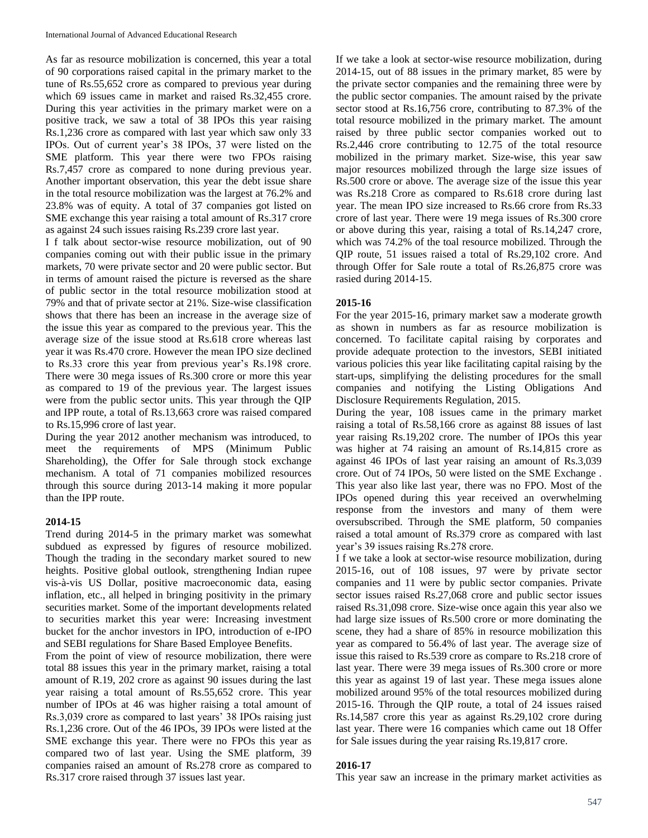As far as resource mobilization is concerned, this year a total of 90 corporations raised capital in the primary market to the tune of Rs.55,652 crore as compared to previous year during which 69 issues came in market and raised Rs.32,455 crore. During this year activities in the primary market were on a positive track, we saw a total of 38 IPOs this year raising Rs.1,236 crore as compared with last year which saw only 33 IPOs. Out of current year's 38 IPOs, 37 were listed on the SME platform. This year there were two FPOs raising Rs.7,457 crore as compared to none during previous year. Another important observation, this year the debt issue share in the total resource mobilization was the largest at 76.2% and 23.8% was of equity. A total of 37 companies got listed on SME exchange this year raising a total amount of Rs.317 crore as against 24 such issues raising Rs.239 crore last year.

I f talk about sector-wise resource mobilization, out of 90 companies coming out with their public issue in the primary markets, 70 were private sector and 20 were public sector. But in terms of amount raised the picture is reversed as the share of public sector in the total resource mobilization stood at 79% and that of private sector at 21%. Size-wise classification shows that there has been an increase in the average size of the issue this year as compared to the previous year. This the average size of the issue stood at Rs.618 crore whereas last year it was Rs.470 crore. However the mean IPO size declined to Rs.33 crore this year from previous year's Rs.198 crore. There were 30 mega issues of Rs.300 crore or more this year as compared to 19 of the previous year. The largest issues were from the public sector units. This year through the QIP and IPP route, a total of Rs.13,663 crore was raised compared to Rs.15,996 crore of last year.

During the year 2012 another mechanism was introduced, to meet the requirements of MPS (Minimum Public Shareholding), the Offer for Sale through stock exchange mechanism. A total of 71 companies mobilized resources through this source during 2013-14 making it more popular than the IPP route.

### **2014-15**

Trend during 2014-5 in the primary market was somewhat subdued as expressed by figures of resource mobilized. Though the trading in the secondary market soured to new heights. Positive global outlook, strengthening Indian rupee vis-à-vis US Dollar, positive macroeconomic data, easing inflation, etc., all helped in bringing positivity in the primary securities market. Some of the important developments related to securities market this year were: Increasing investment bucket for the anchor investors in IPO, introduction of e-IPO and SEBI regulations for Share Based Employee Benefits.

From the point of view of resource mobilization, there were total 88 issues this year in the primary market, raising a total amount of R.19, 202 crore as against 90 issues during the last year raising a total amount of Rs.55,652 crore. This year number of IPOs at 46 was higher raising a total amount of Rs.3,039 crore as compared to last years' 38 IPOs raising just Rs.1,236 crore. Out of the 46 IPOs, 39 IPOs were listed at the SME exchange this year. There were no FPOs this year as compared two of last year. Using the SME platform, 39 companies raised an amount of Rs.278 crore as compared to Rs.317 crore raised through 37 issues last year.

If we take a look at sector-wise resource mobilization, during 2014-15, out of 88 issues in the primary market, 85 were by the private sector companies and the remaining three were by the public sector companies. The amount raised by the private sector stood at Rs.16,756 crore, contributing to 87.3% of the total resource mobilized in the primary market. The amount raised by three public sector companies worked out to Rs.2,446 crore contributing to 12.75 of the total resource mobilized in the primary market. Size-wise, this year saw major resources mobilized through the large size issues of Rs.500 crore or above. The average size of the issue this year was Rs.218 Crore as compared to Rs.618 crore during last year. The mean IPO size increased to Rs.66 crore from Rs.33 crore of last year. There were 19 mega issues of Rs.300 crore or above during this year, raising a total of Rs.14,247 crore, which was 74.2% of the toal resource mobilized. Through the QIP route, 51 issues raised a total of Rs.29,102 crore. And through Offer for Sale route a total of Rs.26,875 crore was rasied during 2014-15.

### **2015-16**

For the year 2015-16, primary market saw a moderate growth as shown in numbers as far as resource mobilization is concerned. To facilitate capital raising by corporates and provide adequate protection to the investors, SEBI initiated various policies this year like facilitating capital raising by the start-ups, simplifying the delisting procedures for the small companies and notifying the Listing Obligations And Disclosure Requirements Regulation, 2015.

During the year, 108 issues came in the primary market raising a total of Rs.58,166 crore as against 88 issues of last year raising Rs.19,202 crore. The number of IPOs this year was higher at 74 raising an amount of Rs.14,815 crore as against 46 IPOs of last year raising an amount of Rs.3,039 crore. Out of 74 IPOs, 50 were listed on the SME Exchange . This year also like last year, there was no FPO. Most of the IPOs opened during this year received an overwhelming response from the investors and many of them were oversubscribed. Through the SME platform, 50 companies raised a total amount of Rs.379 crore as compared with last year's 39 issues raising Rs.278 crore.

I f we take a look at sector-wise resource mobilization, during 2015-16, out of 108 issues, 97 were by private sector companies and 11 were by public sector companies. Private sector issues raised Rs.27,068 crore and public sector issues raised Rs.31,098 crore. Size-wise once again this year also we had large size issues of Rs.500 crore or more dominating the scene, they had a share of 85% in resource mobilization this year as compared to 56.4% of last year. The average size of issue this raised to Rs.539 crore as compare to Rs.218 crore of last year. There were 39 mega issues of Rs.300 crore or more this year as against 19 of last year. These mega issues alone mobilized around 95% of the total resources mobilized during 2015-16. Through the QIP route, a total of 24 issues raised Rs.14,587 crore this year as against Rs.29,102 crore during last year. There were 16 companies which came out 18 Offer for Sale issues during the year raising Rs.19,817 crore.

### **2016-17**

This year saw an increase in the primary market activities as